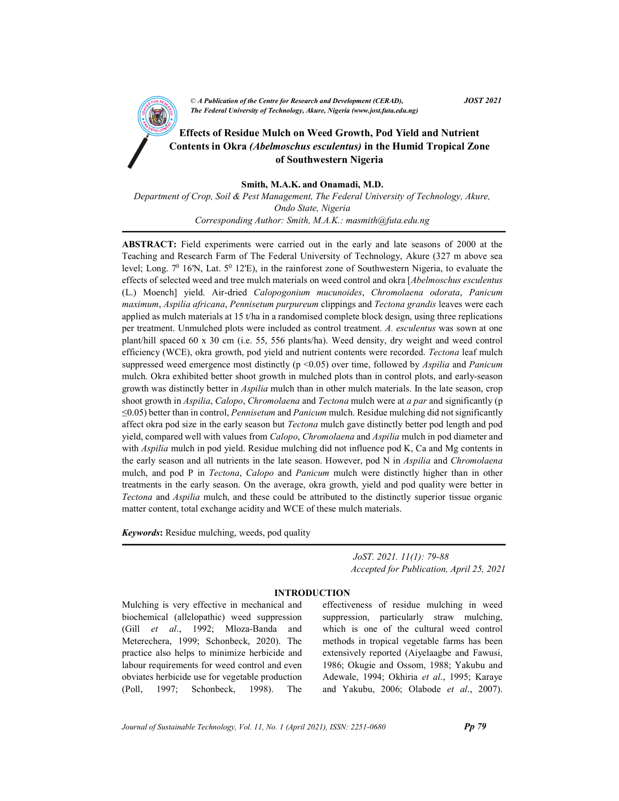CA Publication of the Centre for Kesearch and Development (CEKAD),<br>The Federal University of Technology, Akure, Nigeria (www.jost.futa.edu.ng) © A Publication of the Centre for Research and Development (CERAD),  $JOST 2021$ 

# Effects of Residue Mulch on Weed Growth, Pod Yield and Nutrient Contents in Okra (Abelmoschus esculentus) in the Humid Tropical Zone of Southwestern Nigeria

Smith, M.A.K. and Onamadi, M.D.

Department of Crop, Soil & Pest Management, The Federal University of Technology, Akure, Ondo State, Nigeria Corresponding Author: Smith, M.A.K.: masmith@futa.edu.ng

ABSTRACT: Field experiments were carried out in the early and late seasons of 2000 at the Teaching and Research Farm of The Federal University of Technology, Akure (327 m above sea level; Long.  $7^0$  16'N, Lat.  $5^0$  12'E), in the rainforest zone of Southwestern Nigeria, to evaluate the effects of selected weed and tree mulch materials on weed control and okra [Abelmoschus esculentus (L.) Moench] yield. Air-dried Calopogonium mucunoides, Chromolaena odorata, Panicum maximum, Aspilia africana, Pennisetum purpureum clippings and Tectona grandis leaves were each applied as mulch materials at 15 t/ha in a randomised complete block design, using three replications per treatment. Unmulched plots were included as control treatment. A. esculentus was sown at one plant/hill spaced 60 x 30 cm (i.e. 55, 556 plants/ha). Weed density, dry weight and weed control efficiency (WCE), okra growth, pod yield and nutrient contents were recorded. Tectona leaf mulch suppressed weed emergence most distinctly ( $p \le 0.05$ ) over time, followed by Aspilia and Panicum mulch. Okra exhibited better shoot growth in mulched plots than in control plots, and early-season growth was distinctly better in *Aspilia* mulch than in other mulch materials. In the late season, crop shoot growth in Aspilia, Calopo, Chromolaena and Tectona mulch were at a par and significantly (p ≤0.05) better than in control, Pennisetum and Panicum mulch. Residue mulching did not significantly affect okra pod size in the early season but *Tectona* mulch gave distinctly better pod length and pod yield, compared well with values from Calopo, Chromolaena and Aspilia mulch in pod diameter and with *Aspilia* mulch in pod yield. Residue mulching did not influence pod K, Ca and Mg contents in the early season and all nutrients in the late season. However, pod N in Aspilia and Chromolaena mulch, and pod P in Tectona, Calopo and Panicum mulch were distinctly higher than in other treatments in the early season. On the average, okra growth, yield and pod quality were better in Tectona and Aspilia mulch, and these could be attributed to the distinctly superior tissue organic matter content, total exchange acidity and WCE of these mulch materials.

Keywords: Residue mulching, weeds, pod quality

 JoST. 2021. 11(1): 79-88 Accepted for Publication, April 25, 2021

### INTRODUCTION

Mulching is very effective in mechanical and biochemical (allelopathic) weed suppression (Gill et al., 1992; Mloza-Banda and Meterechera, 1999; Schonbeck, 2020). The practice also helps to minimize herbicide and labour requirements for weed control and even obviates herbicide use for vegetable production (Poll, 1997; Schonbeck, 1998). The effectiveness of residue mulching in weed suppression, particularly straw mulching, which is one of the cultural weed control methods in tropical vegetable farms has been extensively reported (Aiyelaagbe and Fawusi, 1986; Okugie and Ossom, 1988; Yakubu and Adewale, 1994; Okhiria et al., 1995; Karaye and Yakubu, 2006; Olabode et al., 2007).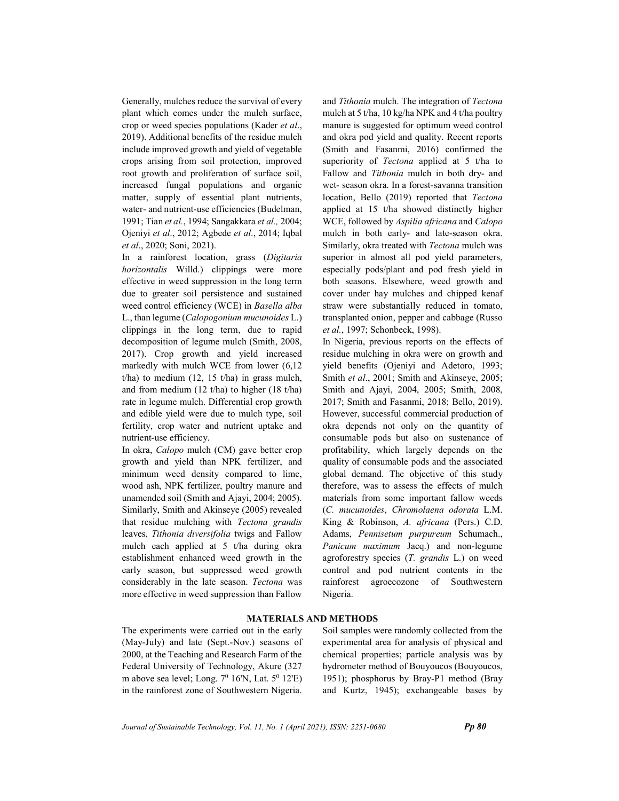Generally, mulches reduce the survival of every plant which comes under the mulch surface, crop or weed species populations (Kader et al., 2019). Additional benefits of the residue mulch include improved growth and yield of vegetable crops arising from soil protection, improved root growth and proliferation of surface soil, increased fungal populations and organic matter, supply of essential plant nutrients, water- and nutrient-use efficiencies (Budelman, 1991; Tian et al., 1994; Sangakkara et al., 2004; Ojeniyi et al., 2012; Agbede et al., 2014; Iqbal et al., 2020; Soni, 2021).

In a rainforest location, grass (Digitaria horizontalis Willd.) clippings were more effective in weed suppression in the long term due to greater soil persistence and sustained weed control efficiency (WCE) in Basella alba L., than legume (Calopogonium mucunoides L.) clippings in the long term, due to rapid decomposition of legume mulch (Smith, 2008, 2017). Crop growth and yield increased markedly with mulch WCE from lower (6,12  $t/ha$ ) to medium (12, 15  $t/ha$ ) in grass mulch, and from medium (12 t/ha) to higher (18 t/ha) rate in legume mulch. Differential crop growth and edible yield were due to mulch type, soil fertility, crop water and nutrient uptake and nutrient-use efficiency.

In okra, Calopo mulch (CM) gave better crop growth and yield than NPK fertilizer, and minimum weed density compared to lime, wood ash, NPK fertilizer, poultry manure and unamended soil (Smith and Ajayi, 2004; 2005). Similarly, Smith and Akinseye (2005) revealed that residue mulching with Tectona grandis leaves, Tithonia diversifolia twigs and Fallow mulch each applied at 5 t/ha during okra establishment enhanced weed growth in the early season, but suppressed weed growth considerably in the late season. Tectona was more effective in weed suppression than Fallow

and Tithonia mulch. The integration of Tectona mulch at 5 t/ha, 10 kg/ha NPK and 4 t/ha poultry manure is suggested for optimum weed control and okra pod yield and quality. Recent reports (Smith and Fasanmi, 2016) confirmed the superiority of Tectona applied at 5 t/ha to Fallow and Tithonia mulch in both dry- and wet- season okra. In a forest-savanna transition location, Bello (2019) reported that Tectona applied at 15 t/ha showed distinctly higher WCE, followed by Aspilia africana and Calopo mulch in both early- and late-season okra. Similarly, okra treated with Tectona mulch was superior in almost all pod yield parameters, especially pods/plant and pod fresh yield in both seasons. Elsewhere, weed growth and cover under hay mulches and chipped kenaf straw were substantially reduced in tomato, transplanted onion, pepper and cabbage (Russo et al., 1997; Schonbeck, 1998).

In Nigeria, previous reports on the effects of residue mulching in okra were on growth and yield benefits (Ojeniyi and Adetoro, 1993; Smith et al., 2001; Smith and Akinseye, 2005; Smith and Ajayi, 2004, 2005; Smith, 2008, 2017; Smith and Fasanmi, 2018; Bello, 2019). However, successful commercial production of okra depends not only on the quantity of consumable pods but also on sustenance of profitability, which largely depends on the quality of consumable pods and the associated global demand. The objective of this study therefore, was to assess the effects of mulch materials from some important fallow weeds (C. mucunoides, Chromolaena odorata L.M. King & Robinson, A. africana (Pers.) C.D. Adams, Pennisetum purpureum Schumach., Panicum maximum Jacq.) and non-legume agroforestry species  $(T. \,$  grandis  $L$ .) on weed control and pod nutrient contents in the rainforest agroecozone of Southwestern Nigeria.

# MATERIALS AND METHODS

The experiments were carried out in the early (May-July) and late (Sept.-Nov.) seasons of 2000, at the Teaching and Research Farm of the Federal University of Technology, Akure (327 m above sea level; Long.  $7^0$  16'N, Lat.  $5^0$  12'E) in the rainforest zone of Southwestern Nigeria.

Soil samples were randomly collected from the experimental area for analysis of physical and chemical properties; particle analysis was by hydrometer method of Bouyoucos (Bouyoucos, 1951); phosphorus by Bray-P1 method (Bray and Kurtz, 1945); exchangeable bases by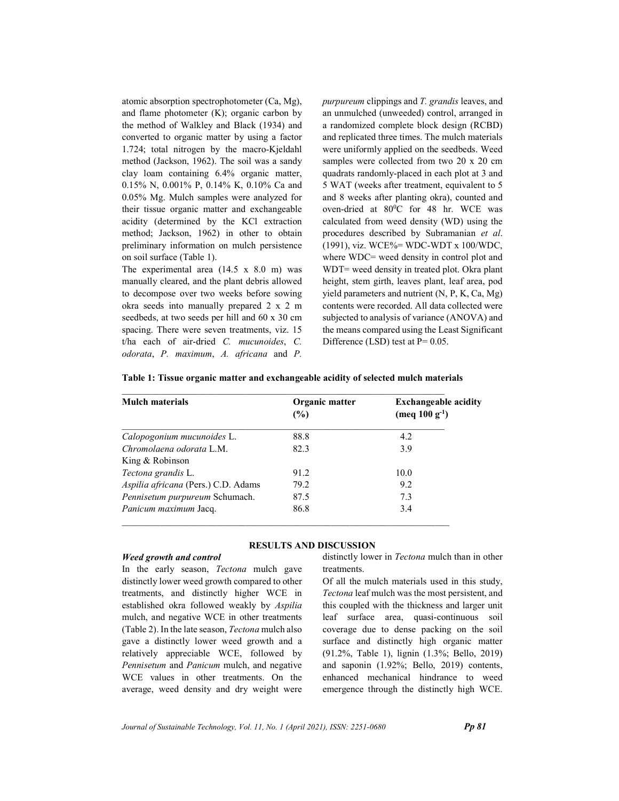atomic absorption spectrophotometer (Ca, Mg), and flame photometer (K); organic carbon by the method of Walkley and Black (1934) and converted to organic matter by using a factor 1.724; total nitrogen by the macro-Kjeldahl method (Jackson, 1962). The soil was a sandy clay loam containing 6.4% organic matter, 0.15% N, 0.001% P, 0.14% K, 0.10% Ca and 0.05% Mg. Mulch samples were analyzed for their tissue organic matter and exchangeable acidity (determined by the KCl extraction method; Jackson, 1962) in other to obtain preliminary information on mulch persistence on soil surface (Table 1).

The experimental area (14.5 x 8.0 m) was manually cleared, and the plant debris allowed to decompose over two weeks before sowing okra seeds into manually prepared 2 x 2 m seedbeds, at two seeds per hill and 60 x 30 cm spacing. There were seven treatments, viz. 15 t/ha each of air-dried C. mucunoides, C. odorata, P. maximum, A. africana and P.

purpureum clippings and T. grandis leaves, and an unmulched (unweeded) control, arranged in a randomized complete block design (RCBD) and replicated three times. The mulch materials were uniformly applied on the seedbeds. Weed samples were collected from two 20 x 20 cm quadrats randomly-placed in each plot at 3 and 5 WAT (weeks after treatment, equivalent to 5 and 8 weeks after planting okra), counted and oven-dried at 80°C for 48 hr. WCE was calculated from weed density (WD) using the procedures described by Subramanian et al. (1991), viz. WCE%= WDC-WDT x 100/WDC, where WDC= weed density in control plot and WDT= weed density in treated plot. Okra plant height, stem girth, leaves plant, leaf area, pod yield parameters and nutrient (N, P, K, Ca, Mg) contents were recorded. All data collected were subjected to analysis of variance (ANOVA) and the means compared using the Least Significant Difference (LSD) test at  $P = 0.05$ .

| <b>Mulch materials</b>              | Organic matter<br>(%) | <b>Exchangeable acidity</b><br>(meq $100 g^{-1}$ ) |  |  |
|-------------------------------------|-----------------------|----------------------------------------------------|--|--|
| Calopogonium mucunoides L.          | 88.8                  | 4.2                                                |  |  |
| Chromolaena odorata L.M.            | 82.3                  | 3.9                                                |  |  |
| King & Robinson                     |                       |                                                    |  |  |
| Tectona grandis L.                  | 91.2                  | 10.0                                               |  |  |
| Aspilia africana (Pers.) C.D. Adams | 79.2                  | 9.2                                                |  |  |
| Pennisetum purpureum Schumach.      | 87.5                  | 7.3                                                |  |  |
| Panicum maximum Jacq.               | 86.8                  | 3.4                                                |  |  |

|  | Table 1: Tissue organic matter and exchangeable acidity of selected mulch materials |
|--|-------------------------------------------------------------------------------------|
|  |                                                                                     |

### RESULTS AND DISCUSSION

#### Weed growth and control

In the early season, Tectona mulch gave distinctly lower weed growth compared to other treatments, and distinctly higher WCE in established okra followed weakly by Aspilia mulch, and negative WCE in other treatments (Table 2). In the late season, Tectona mulch also gave a distinctly lower weed growth and a relatively appreciable WCE, followed by Pennisetum and Panicum mulch, and negative WCE values in other treatments. On the average, weed density and dry weight were distinctly lower in Tectona mulch than in other treatments.

Of all the mulch materials used in this study, Tectona leaf mulch was the most persistent, and this coupled with the thickness and larger unit leaf surface area, quasi-continuous soil coverage due to dense packing on the soil surface and distinctly high organic matter (91.2%, Table 1), lignin (1.3%; Bello, 2019) and saponin (1.92%; Bello, 2019) contents, enhanced mechanical hindrance to weed emergence through the distinctly high WCE.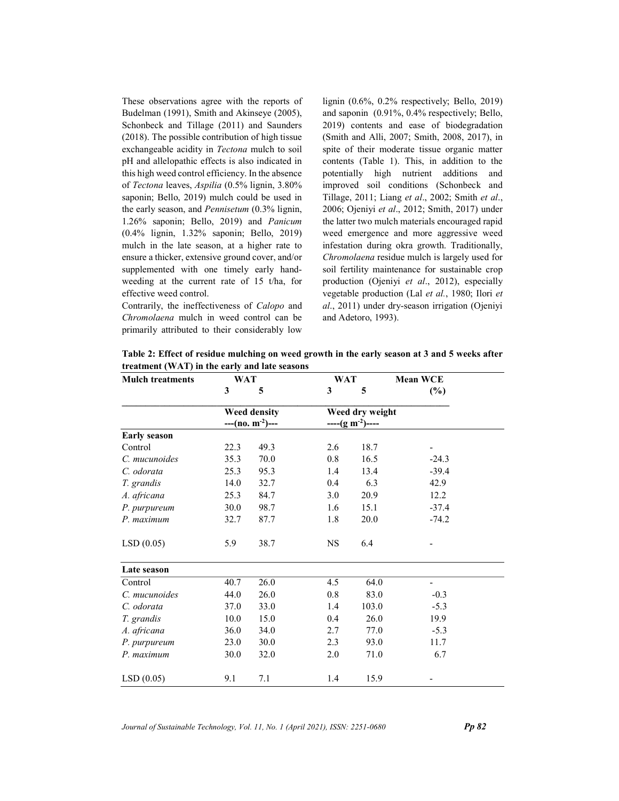These observations agree with the reports of Budelman (1991), Smith and Akinseye (2005), Schonbeck and Tillage (2011) and Saunders (2018). The possible contribution of high tissue exchangeable acidity in Tectona mulch to soil pH and allelopathic effects is also indicated in this high weed control efficiency. In the absence of Tectona leaves, Aspilia (0.5% lignin, 3.80% saponin; Bello, 2019) mulch could be used in the early season, and Pennisetum (0.3% lignin, 1.26% saponin; Bello, 2019) and Panicum (0.4% lignin, 1.32% saponin; Bello, 2019) mulch in the late season, at a higher rate to ensure a thicker, extensive ground cover, and/or supplemented with one timely early handweeding at the current rate of 15 t/ha, for effective weed control.

Contrarily, the ineffectiveness of Calopo and Chromolaena mulch in weed control can be primarily attributed to their considerably low lignin (0.6%, 0.2% respectively; Bello, 2019) and saponin (0.91%, 0.4% respectively; Bello, 2019) contents and ease of biodegradation (Smith and Alli, 2007; Smith, 2008, 2017), in spite of their moderate tissue organic matter contents (Table 1). This, in addition to the potentially high nutrient additions and improved soil conditions (Schonbeck and Tillage, 2011; Liang et al., 2002; Smith et al., 2006; Ojeniyi et al., 2012; Smith, 2017) under the latter two mulch materials encouraged rapid weed emergence and more aggressive weed infestation during okra growth. Traditionally, Chromolaena residue mulch is largely used for soil fertility maintenance for sustainable crop production (Ojeniyi et al., 2012), especially vegetable production (Lal et al., 1980; Ilori et al., 2011) under dry-season irrigation (Ojeniyi and Adetoro, 1993).

| <b>Mulch treatments</b> | WAT                                     |      | <b>WAT</b> |                                    | <b>Mean WCE</b>          |
|-------------------------|-----------------------------------------|------|------------|------------------------------------|--------------------------|
|                         | 3                                       | 5    | 3          | 5                                  | (%)                      |
|                         | <b>Weed density</b><br>$-(-(n o. m-2)-$ |      |            | Weed dry weight<br>$---(g m-2)---$ |                          |
| <b>Early season</b>     |                                         |      |            |                                    |                          |
| Control                 | 22.3                                    | 49.3 | 2.6        | 18.7                               |                          |
| C. mucunoides           | 35.3                                    | 70.0 | 0.8        | 16.5                               | $-24.3$                  |
| C. odorata              | 25.3                                    | 95.3 | 1.4        | 13.4                               | $-39.4$                  |
| T. grandis              | 14.0                                    | 32.7 | 0.4        | 6.3                                | 42.9                     |
| A. africana             | 25.3                                    | 84.7 | 3.0        | 20.9                               | 12.2                     |
| P. purpureum            | 30.0                                    | 98.7 | 1.6        | 15.1                               | $-37.4$                  |
| P. maximum              | 32.7                                    | 87.7 | 1.8        | 20.0                               | $-74.2$                  |
| LSD(0.05)               | 5.9                                     | 38.7 | <b>NS</b>  | 6.4                                |                          |
| Late season             |                                         |      |            |                                    |                          |
| Control                 | 40.7                                    | 26.0 | 4.5        | 64.0                               | $\overline{\phantom{0}}$ |
| C. mucunoides           | 44.0                                    | 26.0 | 0.8        | 83.0                               | $-0.3$                   |
| C. odorata              | 37.0                                    | 33.0 | 1.4        | 103.0                              | $-5.3$                   |
| T. grandis              | 10.0                                    | 15.0 | 0.4        | 26.0                               | 19.9                     |
| A. africana             | 36.0                                    | 34.0 | 2.7        | 77.0                               | $-5.3$                   |
| P. purpureum            | 23.0                                    | 30.0 | 2.3        | 93.0                               | 11.7                     |
| P. maximum              | 30.0                                    | 32.0 | 2.0        | 71.0                               | 6.7                      |
| LSD(0.05)               | 9.1                                     | 7.1  | 1.4        | 15.9                               |                          |

Table 2: Effect of residue mulching on weed growth in the early season at 3 and 5 weeks after treatment (WAT) in the early and late seasons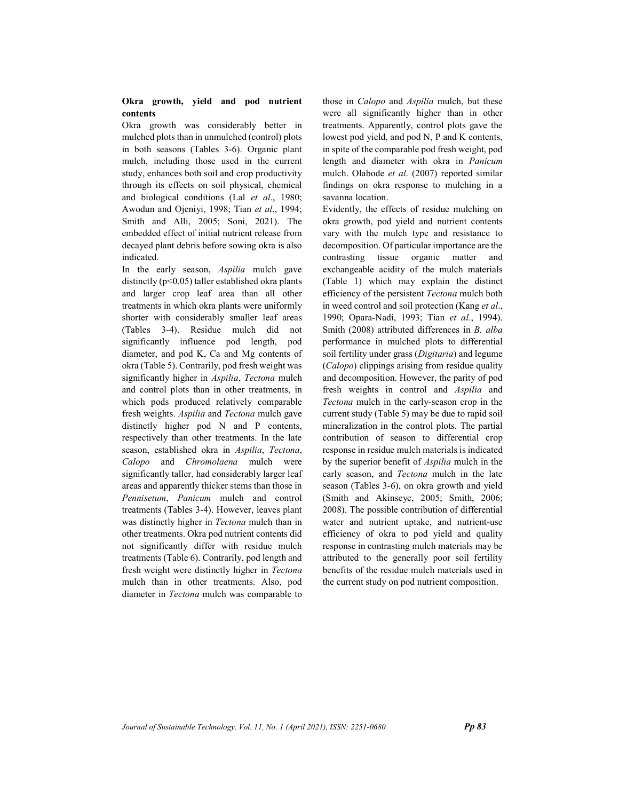# Okra growth, yield and pod nutrient contents

Okra growth was considerably better in mulched plots than in unmulched (control) plots in both seasons (Tables 3-6). Organic plant mulch, including those used in the current study, enhances both soil and crop productivity through its effects on soil physical, chemical and biological conditions (Lal et al., 1980; Awodun and Ojeniyi, 1998; Tian et al., 1994; Smith and Alli, 2005; Soni, 2021). The embedded effect of initial nutrient release from decayed plant debris before sowing okra is also indicated.

In the early season, Aspilia mulch gave distinctly  $(p<0.05)$  taller established okra plants and larger crop leaf area than all other treatments in which okra plants were uniformly shorter with considerably smaller leaf areas (Tables 3-4). Residue mulch did not significantly influence pod length, pod diameter, and pod K, Ca and Mg contents of okra (Table 5). Contrarily, pod fresh weight was significantly higher in Aspilia, Tectona mulch and control plots than in other treatments, in which pods produced relatively comparable fresh weights. Aspilia and Tectona mulch gave distinctly higher pod N and P contents, respectively than other treatments. In the late season, established okra in Aspilia, Tectona, Calopo and Chromolaena mulch were significantly taller, had considerably larger leaf areas and apparently thicker stems than those in Pennisetum, Panicum mulch and control treatments (Tables 3-4). However, leaves plant was distinctly higher in Tectona mulch than in other treatments. Okra pod nutrient contents did not significantly differ with residue mulch treatments (Table 6). Contrarily, pod length and fresh weight were distinctly higher in Tectona mulch than in other treatments. Also, pod diameter in Tectona mulch was comparable to

those in Calopo and Aspilia mulch, but these were all significantly higher than in other treatments. Apparently, control plots gave the lowest pod yield, and pod N, P and K contents, in spite of the comparable pod fresh weight, pod length and diameter with okra in Panicum mulch. Olabode et al. (2007) reported similar findings on okra response to mulching in a savanna location.

Evidently, the effects of residue mulching on okra growth, pod yield and nutrient contents vary with the mulch type and resistance to decomposition. Of particular importance are the contrasting tissue organic matter and exchangeable acidity of the mulch materials (Table 1) which may explain the distinct efficiency of the persistent Tectona mulch both in weed control and soil protection (Kang et al., 1990; Opara-Nadi, 1993; Tian et al., 1994). Smith (2008) attributed differences in B. alba performance in mulched plots to differential soil fertility under grass (*Digitaria*) and legume (Calopo) clippings arising from residue quality and decomposition. However, the parity of pod fresh weights in control and Aspilia and Tectona mulch in the early-season crop in the current study (Table 5) may be due to rapid soil mineralization in the control plots. The partial contribution of season to differential crop response in residue mulch materials is indicated by the superior benefit of Aspilia mulch in the early season, and Tectona mulch in the late season (Tables 3-6), on okra growth and yield (Smith and Akinseye, 2005; Smith, 2006; 2008). The possible contribution of differential water and nutrient uptake, and nutrient-use efficiency of okra to pod yield and quality response in contrasting mulch materials may be attributed to the generally poor soil fertility benefits of the residue mulch materials used in the current study on pod nutrient composition.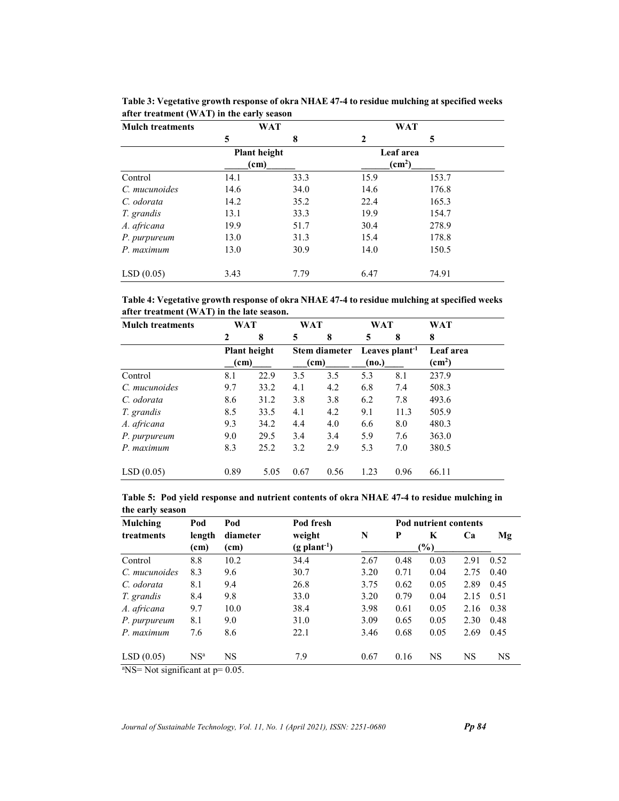| <b>Mulch treatments</b> | WAT                 |      |                    | <b>WAT</b> |  |
|-------------------------|---------------------|------|--------------------|------------|--|
|                         | 5                   | 8    | 2                  | 5          |  |
|                         | <b>Plant height</b> |      | Leaf area          |            |  |
|                         | (c <sub>m</sub> )   |      | (cm <sup>2</sup> ) |            |  |
| Control                 | 14.1                | 33.3 | 15.9               | 153.7      |  |
| C. mucunoides           | 14.6                | 34.0 | 14.6               | 176.8      |  |
| C. odorata              | 14.2                | 35.2 | 22.4               | 165.3      |  |
| T. grandis              | 13.1                | 33.3 | 19.9               | 154.7      |  |
| A. africana             | 19.9                | 51.7 | 30.4               | 278.9      |  |
| P. purpureum            | 13.0                | 31.3 | 15.4               | 178.8      |  |
| P. maximum              | 13.0                | 30.9 | 14.0               | 150.5      |  |
| LSD(0.05)               | 3.43                | 7.79 | 6.47               | 74.91      |  |

Table 3: Vegetative growth response of okra NHAE 47-4 to residue mulching at specified weeks after treatment (WAT) in the early season

Table 4: Vegetative growth response of okra NHAE 47-4 to residue mulching at specified weeks after treatment (WAT) in the late season.

| <b>Mulch treatments</b> | WAT             |              | <b>WAT</b> |                 | <b>WAT</b> |                            | WAT                    |
|-------------------------|-----------------|--------------|------------|-----------------|------------|----------------------------|------------------------|
|                         | $\mathbf{2}$    | 8            | 5          | 8               | 5          | 8                          | 8                      |
|                         |                 | Plant height |            | Stem diameter   |            | Leaves plant <sup>-1</sup> | Leaf area              |
|                         | $\mathbf{(cm)}$ |              |            | $\mathbf{(cm)}$ | (no.)      |                            | $\text{(cm}^2\text{)}$ |
| Control                 | 8.1             | 22.9         | 3.5        | 3.5             | 5.3        | 8.1                        | 237.9                  |
| C. mucunoides           | 9.7             | 33.2         | 4.1        | 4.2             | 6.8        | 7.4                        | 508.3                  |
| C. odorata              | 8.6             | 31.2         | 3.8        | 3.8             | 6.2        | 7.8                        | 493.6                  |
| T. grandis              | 8.5             | 33.5         | 4.1        | 4.2             | 9.1        | 11.3                       | 505.9                  |
| A. africana             | 9.3             | 34.2         | 4.4        | 4.0             | 6.6        | 8.0                        | 480.3                  |
| P. purpureum            | 9.0             | 29.5         | 3.4        | 3.4             | 5.9        | 7.6                        | 363.0                  |
| P. maximum              | 8.3             | 25.2         | 3.2        | 2.9             | 5.3        | 7.0                        | 380.5                  |
| LSD(0.05)               | 0.89            | 5.05         | 0.67       | 0.56            | 1.23       | 0.96                       | 66.11                  |

|                  | Table 5: Pod yield response and nutrient contents of okra NHAE 47-4 to residue mulching in |
|------------------|--------------------------------------------------------------------------------------------|
| the early season |                                                                                            |

| Mulching      | Pod             | Pod       | Pod fresh                  |      | <b>Pod nutrient contents</b> |           |           |           |
|---------------|-----------------|-----------|----------------------------|------|------------------------------|-----------|-----------|-----------|
| treatments    | length          | diameter  | weight                     | N    | P                            | K         | Ca        | Mg        |
|               | (cm)            | (cm)      | $(g$ plant <sup>-1</sup> ) |      |                              | $(\%)$    |           |           |
| Control       | 8.8             | 10.2      | 34.4                       | 2.67 | 0.48                         | 0.03      | 2.91      | 0.52      |
| C. mucunoides | 8.3             | 9.6       | 30.7                       | 3.20 | 0.71                         | 0.04      | 2.75      | 0.40      |
| C. odorata    | 8.1             | 9.4       | 26.8                       | 3.75 | 0.62                         | 0.05      | 2.89      | 0.45      |
| T. grandis    | 8.4             | 9.8       | 33.0                       | 3.20 | 0.79                         | 0.04      | 2.15      | 0.51      |
| A. africana   | 9.7             | 10.0      | 38.4                       | 3.98 | 0.61                         | 0.05      | 2.16      | 0.38      |
| P. purpureum  | 8.1             | 9.0       | 31.0                       | 3.09 | 0.65                         | 0.05      | 2.30      | 0.48      |
| $P$ maximum   | 7.6             | 8.6       | 22.1                       | 3.46 | 0.68                         | 0.05      | 2.69      | 0.45      |
| LSD(0.05)     | NS <sup>a</sup> | <b>NS</b> | 7.9                        | 0.67 | 0.16                         | <b>NS</b> | <b>NS</b> | <b>NS</b> |

 $\sqrt[3]{\text{NS}}$  Not significant at p= 0.05.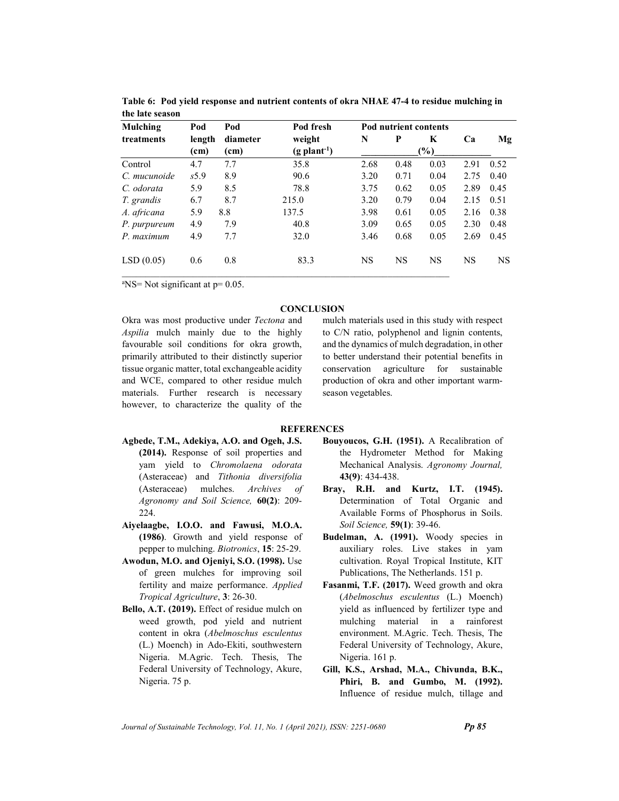| <b>Mulching</b> | Pod    | Pod               | Pod fresh                  |           | Pod nutrient contents |           |           |           |  |
|-----------------|--------|-------------------|----------------------------|-----------|-----------------------|-----------|-----------|-----------|--|
| treatments      | length | diameter          | weight                     | N         | P                     | K         | Ca        | Mg        |  |
|                 | (cm)   | (c <sub>m</sub> ) | $(g$ plant <sup>-1</sup> ) |           | $\frac{9}{6}$         |           |           |           |  |
| Control         | 4.7    | 7.7               | 35.8                       | 2.68      | 0.48                  | 0.03      | 2.91      | 0.52      |  |
| C. mucunoide    | s5.9   | 8.9               | 90.6                       | 3.20      | 0.71                  | 0.04      | 2.75      | 0.40      |  |
| C. odorata      | 5.9    | 8.5               | 78.8                       | 3.75      | 0.62                  | 0.05      | 2.89      | 0.45      |  |
| T. grandis      | 6.7    | 8.7               | 215.0                      | 3.20      | 0.79                  | 0.04      | 2.15      | 0.51      |  |
| A. africana     | 5.9    | 8.8               | 137.5                      | 3.98      | 0.61                  | 0.05      | 2.16      | 0.38      |  |
| P. purpureum    | 4.9    | 7.9               | 40.8                       | 3.09      | 0.65                  | 0.05      | 2.30      | 0.48      |  |
| P. maximum      | 4.9    | 7.7               | 32.0                       | 3.46      | 0.68                  | 0.05      | 2.69      | 0.45      |  |
| LSD(0.05)       | 0.6    | 0.8               | 83.3                       | <b>NS</b> | <b>NS</b>             | <b>NS</b> | <b>NS</b> | <b>NS</b> |  |

Table 6: Pod yield response and nutrient contents of okra NHAE 47-4 to residue mulching in the late season

 $N = Not significant at p = 0.05$ .

# **CONCLUSION**

Okra was most productive under Tectona and Aspilia mulch mainly due to the highly favourable soil conditions for okra growth, primarily attributed to their distinctly superior tissue organic matter, total exchangeable acidity and WCE, compared to other residue mulch materials. Further research is necessary however, to characterize the quality of the mulch materials used in this study with respect to C/N ratio, polyphenol and lignin contents, and the dynamics of mulch degradation, in other to better understand their potential benefits in conservation agriculture for sustainable production of okra and other important warmseason vegetables.

### **REFERENCES**

- Agbede, T.M., Adekiya, A.O. and Ogeh, J.S. (2014). Response of soil properties and yam yield to Chromolaena odorata (Asteraceae) and Tithonia diversifolia (Asteraceae) mulches. Archives of Agronomy and Soil Science, 60(2): 209- 224.
- Aiyelaagbe, I.O.O. and Fawusi, M.O.A. (1986). Growth and yield response of pepper to mulching. Biotronics, 15: 25-29.
- Awodun, M.O. and Ojeniyi, S.O. (1998). Use of green mulches for improving soil fertility and maize performance. Applied Tropical Agriculture, 3: 26-30.
- Bello, A.T. (2019). Effect of residue mulch on weed growth, pod yield and nutrient content in okra (Abelmoschus esculentus (L.) Moench) in Ado-Ekiti, southwestern Nigeria. M.Agric. Tech. Thesis, The Federal University of Technology, Akure, Nigeria. 75 p.
- Bouyoucos, G.H. (1951). A Recalibration of the Hydrometer Method for Making Mechanical Analysis. Agronomy Journal, 43(9): 434-438.
- Bray, R.H. and Kurtz, I.T. (1945). Determination of Total Organic and Available Forms of Phosphorus in Soils. Soil Science, 59(1): 39-46.
- Budelman, A. (1991). Woody species in auxiliary roles. Live stakes in yam cultivation. Royal Tropical Institute, KIT Publications, The Netherlands. 151 p.
- Fasanmi, T.F. (2017). Weed growth and okra (Abelmoschus esculentus (L.) Moench) yield as influenced by fertilizer type and mulching material in a rainforest environment. M.Agric. Tech. Thesis, The Federal University of Technology, Akure, Nigeria. 161 p.
- Gill, K.S., Arshad, M.A., Chivunda, B.K., Phiri, B. and Gumbo, M. (1992). Influence of residue mulch, tillage and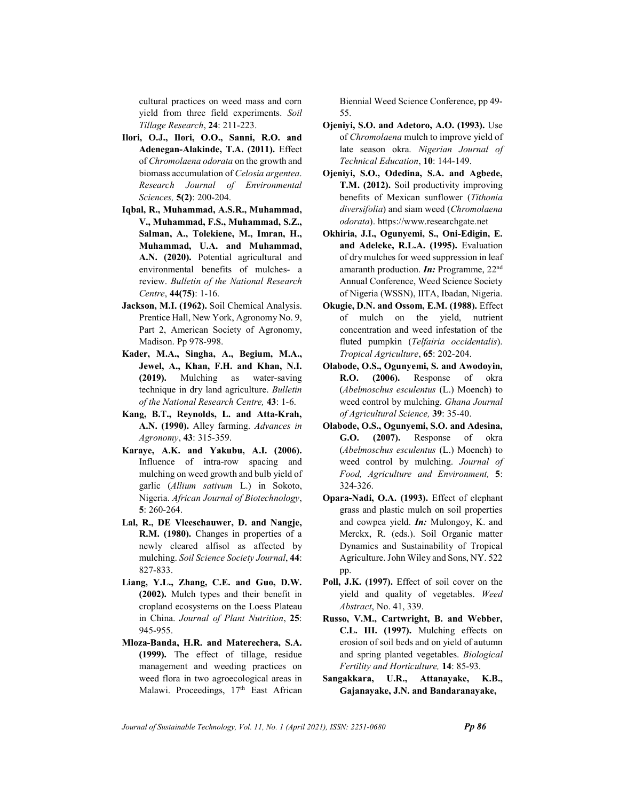cultural practices on weed mass and corn yield from three field experiments. Soil Tillage Research, 24: 211-223.

- Ilori, O.J., Ilori, O.O., Sanni, R.O. and Adenegan-Alakinde, T.A. (2011). Effect of Chromolaena odorata on the growth and biomass accumulation of Celosia argentea. Research Journal of Environmental Sciences, 5(2): 200-204.
- Iqbal, R., Muhammad, A.S.R., Muhammad, V., Muhammad, F.S., Muhammad, S.Z., Salman, A., Tolekiene, M., Imran, H., Muhammad, U.A. and Muhammad, A.N. (2020). Potential agricultural and environmental benefits of mulches- a review. Bulletin of the National Research Centre, 44(75): 1-16.
- Jackson, M.I. (1962). Soil Chemical Analysis. Prentice Hall, New York, Agronomy No. 9, Part 2, American Society of Agronomy, Madison. Pp 978-998.
- Kader, M.A., Singha, A., Begium, M.A., Jewel, A., Khan, F.H. and Khan, N.I. (2019). Mulching as water-saving technique in dry land agriculture. Bulletin of the National Research Centre, 43: 1-6.
- Kang, B.T., Reynolds, L. and Atta-Krah, A.N. (1990). Alley farming. Advances in Agronomy, 43: 315-359.
- Karaye, A.K. and Yakubu, A.I. (2006). Influence of intra-row spacing and mulching on weed growth and bulb yield of garlic (Allium sativum L.) in Sokoto, Nigeria. African Journal of Biotechnology, 5: 260-264.
- Lal, R., DE Vleeschauwer, D. and Nangje, R.M. (1980). Changes in properties of a newly cleared alfisol as affected by mulching. Soil Science Society Journal, 44: 827-833.
- Liang, Y.L., Zhang, C.E. and Guo, D.W. (2002). Mulch types and their benefit in cropland ecosystems on the Loess Plateau in China. Journal of Plant Nutrition, 25: 945-955.
- Mloza-Banda, H.R. and Materechera, S.A. (1999). The effect of tillage, residue management and weeding practices on weed flora in two agroecological areas in Malawi. Proceedings, 17th East African

Biennial Weed Science Conference, pp 49- 55.

- Ojeniyi, S.O. and Adetoro, A.O. (1993). Use of Chromolaena mulch to improve yield of late season okra. Nigerian Journal of Technical Education, 10: 144-149.
- Ojeniyi, S.O., Odedina, S.A. and Agbede, T.M. (2012). Soil productivity improving benefits of Mexican sunflower (Tithonia diversifolia) and siam weed (Chromolaena odorata). https://www.researchgate.net
- Okhiria, J.I., Ogunyemi, S., Oni-Edigin, E. and Adeleke, R.L.A. (1995). Evaluation of dry mulches for weed suppression in leaf amaranth production. **In:** Programme,  $22<sup>nd</sup>$ Annual Conference, Weed Science Society of Nigeria (WSSN), IITA, Ibadan, Nigeria.
- Okugie, D.N. and Ossom, E.M. (1988). Effect of mulch on the yield, nutrient concentration and weed infestation of the fluted pumpkin (Telfairia occidentalis). Tropical Agriculture, 65: 202-204.
- Olabode, O.S., Ogunyemi, S. and Awodoyin, R.O. (2006). Response of okra (Abelmoschus esculentus (L.) Moench) to weed control by mulching. Ghana Journal of Agricultural Science, 39: 35-40.
- Olabode, O.S., Ogunyemi, S.O. and Adesina, G.O. (2007). Response of okra (Abelmoschus esculentus (L.) Moench) to weed control by mulching. Journal of Food, Agriculture and Environment, 5: 324-326.
- Opara-Nadi, O.A. (1993). Effect of elephant grass and plastic mulch on soil properties and cowpea yield.  $In:$  Mulongoy, K. and Merckx, R. (eds.). Soil Organic matter Dynamics and Sustainability of Tropical Agriculture. John Wiley and Sons, NY. 522 pp.
- Poll, J.K. (1997). Effect of soil cover on the yield and quality of vegetables. Weed Abstract, No. 41, 339.
- Russo, V.M., Cartwright, B. and Webber, C.L. III. (1997). Mulching effects on erosion of soil beds and on yield of autumn and spring planted vegetables. Biological Fertility and Horticulture, 14: 85-93.
- Sangakkara, U.R., Attanayake, K.B., Gajanayake, J.N. and Bandaranayake,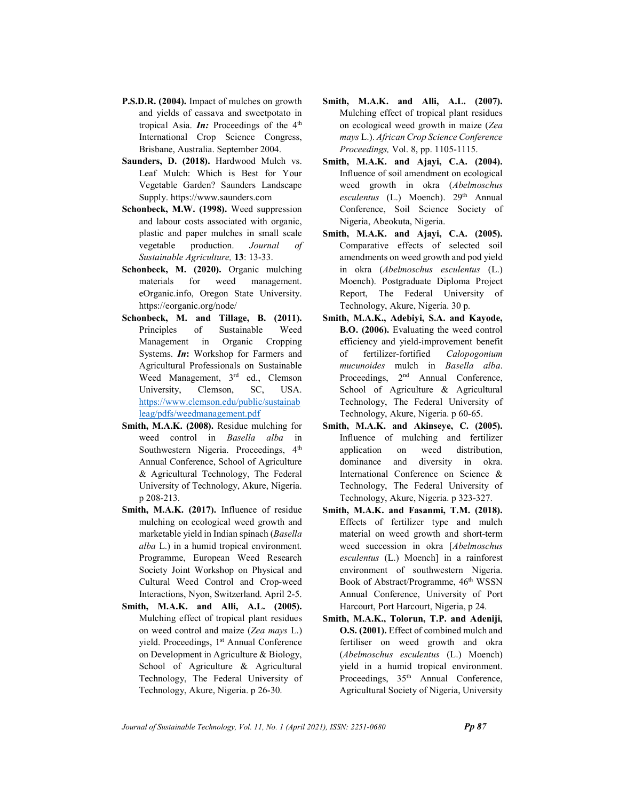- P.S.D.R. (2004). Impact of mulches on growth and yields of cassava and sweetpotato in tropical Asia. **In:** Proceedings of the  $4<sup>th</sup>$ International Crop Science Congress, Brisbane, Australia. September 2004.
- Saunders, D. (2018). Hardwood Mulch vs. Leaf Mulch: Which is Best for Your Vegetable Garden? Saunders Landscape Supply. https://www.saunders.com
- Schonbeck, M.W. (1998). Weed suppression and labour costs associated with organic, plastic and paper mulches in small scale vegetable production. Journal of Sustainable Agriculture, 13: 13-33.
- Schonbeck, M. (2020). Organic mulching materials for weed management. eOrganic.info, Oregon State University. https://eorganic.org/node/
- Schonbeck, M. and Tillage, B. (2011). Principles of Sustainable Weed Management in Organic Cropping Systems. In: Workshop for Farmers and Agricultural Professionals on Sustainable Weed Management, 3<sup>rd</sup> ed., Clemson University, Clemson, SC, USA. https://www.clemson.edu/public/sustainab leag/pdfs/weedmanagement.pdf
- Smith, M.A.K. (2008). Residue mulching for weed control in Basella alba in Southwestern Nigeria. Proceedings, 4<sup>th</sup> Annual Conference, School of Agriculture & Agricultural Technology, The Federal University of Technology, Akure, Nigeria. p 208-213.
- Smith, M.A.K. (2017). Influence of residue mulching on ecological weed growth and marketable yield in Indian spinach (Basella alba L.) in a humid tropical environment. Programme, European Weed Research Society Joint Workshop on Physical and Cultural Weed Control and Crop-weed Interactions, Nyon, Switzerland. April 2-5.
- Smith, M.A.K. and Alli, A.L. (2005). Mulching effect of tropical plant residues on weed control and maize (Zea mays L.) yield. Proceedings, 1<sup>st</sup> Annual Conference on Development in Agriculture & Biology, School of Agriculture & Agricultural Technology, The Federal University of Technology, Akure, Nigeria. p 26-30.
- Smith, M.A.K. and Alli, A.L. (2007). Mulching effect of tropical plant residues on ecological weed growth in maize (Zea mays L.). African Crop Science Conference Proceedings, Vol. 8, pp. 1105-1115.
- Smith, M.A.K. and Ajayi, C.A. (2004). Influence of soil amendment on ecological weed growth in okra (Abelmoschus esculentus  $(L)$  Moench).  $29<sup>th</sup>$  Annual Conference, Soil Science Society of Nigeria, Abeokuta, Nigeria.
- Smith, M.A.K. and Ajayi, C.A. (2005). Comparative effects of selected soil amendments on weed growth and pod yield in okra (Abelmoschus esculentus (L.) Moench). Postgraduate Diploma Project Report, The Federal University of Technology, Akure, Nigeria. 30 p.
- Smith, M.A.K., Adebiyi, S.A. and Kayode, B.O. (2006). Evaluating the weed control efficiency and yield-improvement benefit of fertilizer-fortified Calopogonium mucunoides mulch in Basella alba. Proceedings, 2<sup>nd</sup> Annual Conference, School of Agriculture & Agricultural Technology, The Federal University of Technology, Akure, Nigeria. p 60-65.
- Smith, M.A.K. and Akinseye, C. (2005). Influence of mulching and fertilizer application on weed distribution, dominance and diversity in okra. International Conference on Science & Technology, The Federal University of Technology, Akure, Nigeria. p 323-327.
- Smith, M.A.K. and Fasanmi, T.M. (2018). Effects of fertilizer type and mulch material on weed growth and short-term weed succession in okra [Abelmoschus esculentus (L.) Moench] in a rainforest environment of southwestern Nigeria. Book of Abstract/Programme, 46<sup>th</sup> WSSN Annual Conference, University of Port Harcourt, Port Harcourt, Nigeria, p 24.
- Smith, M.A.K., Tolorun, T.P. and Adeniji, O.S. (2001). Effect of combined mulch and fertiliser on weed growth and okra (Abelmoschus esculentus (L.) Moench) yield in a humid tropical environment. Proceedings, 35<sup>th</sup> Annual Conference, Agricultural Society of Nigeria, University